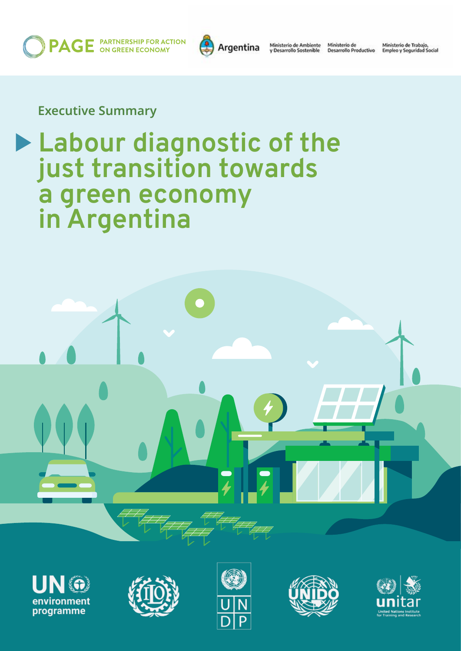**PAGE** PARTNERSHIP FOR ACTION



Ministerio de Ambiente<br>y Desarrollo Sostenible

Ministerio de<br>Desarrollo Productivo

Ministerio de Trabajo,<br>Empleo y Seguridad Social

### **Executive Summary**

# **Labour diagnostic of the just transition towards a green economy in Argentina**











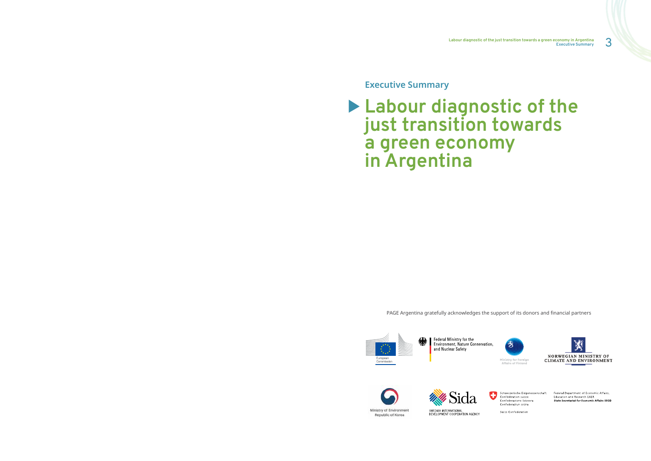3 **Labour diagnostic of the just transition towards a green economy in Argentina Executive Summary**

**Executive Summary**

# **Labour diagnostic of the just transition towards a green economy in Argentina**

PAGE Argentina gratefully acknowledges the support of its donors and financial partners



Federal Ministry for the Environment, Nature Conservation, and Nuclear Safety













Swiss Confederation

Federal Department of Economic Affairs,<br>Education and Research EAER State Secretariat for Economic Affairs SECO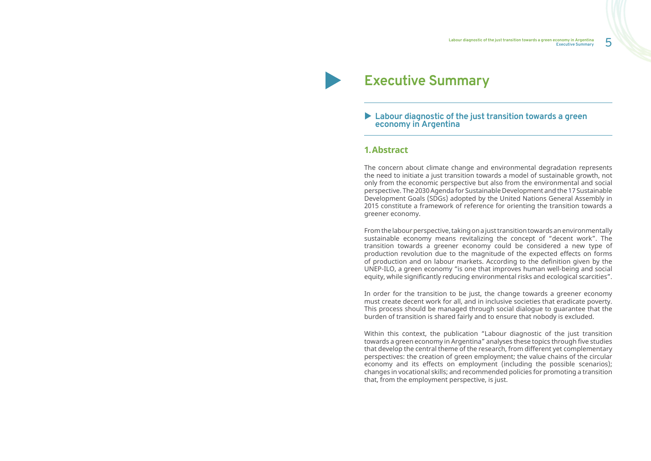**Labour diagnostic of the just transition towards a green economy in Argentina**<br>Executive Summary **Executive Summary**

### ▶ Labour diagnostic of the just transition towards a green **economy in Argentina**

## **Executive Summary**

#### **1.Abstract**

The concern about climate change and environmental degradation represents the need to initiate a just transition towards a model of sustainable growth, not only from the economic perspective but also from the environmental and social perspective. The 2030 Agenda for Sustainable Development and the 17 Sustainable Development Goals (SDGs) adopted by the United Nations General Assembly in 2015 constitute a framework of reference for orienting the transition towards a greener economy.

From the labour perspective, taking on a just transition towards an environmentally sustainable economy means revitalizing the concept of "decent work". The transition towards a greener economy could be considered a new type of production revolution due to the magnitude of the expected effects on forms of production and on labour markets. According to the definition given by the UNEP-ILO, a green economy "is one that improves human well-being and social equity, while significantly reducing environmental risks and ecological scarcities".

In order for the transition to be just, the change towards a greener economy must create decent work for all, and in inclusive societies that eradicate poverty. This process should be managed through social dialogue to guarantee that the burden of transition is shared fairly and to ensure that nobody is excluded.

Within this context, the publication "Labour diagnostic of the just transition towards a green economy in Argentina" analyses these topics through five studies that develop the central theme of the research, from different yet complementary perspectives: the creation of green employment; the value chains of the circular economy and its effects on employment (including the possible scenarios); changes in vocational skills; and recommended policies for promoting a transition that, from the employment perspective, is just.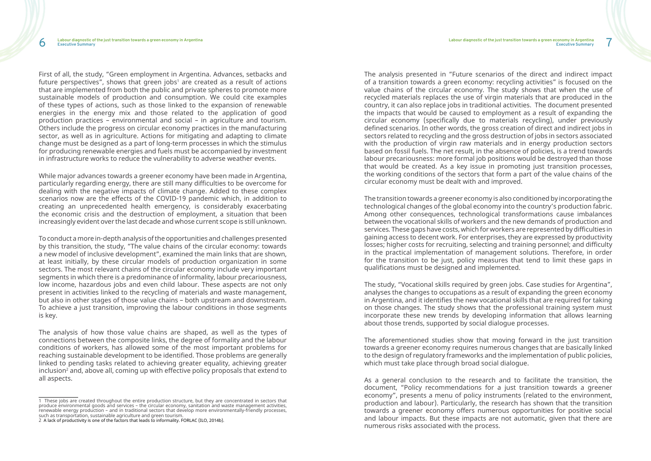First of all, the study, "Green employment in Argentina. Advances, setbacks and future perspectives", shows that green jobs $^{\scriptscriptstyle 1}$  are created as a result of actions that are implemented from both the public and private spheres to promote more sustainable models of production and consumption. We could cite examples of these types of actions, such as those linked to the expansion of renewable energies in the energy mix and those related to the application of good production practices – environmental and social – in agriculture and tourism. Others include the progress on circular economy practices in the manufacturing sector, as well as in agriculture. Actions for mitigating and adapting to climate change must be designed as a part of long-term processes in which the stimulus for producing renewable energies and fuels must be accompanied by investment in infrastructure works to reduce the vulnerability to adverse weather events.

While major advances towards a greener economy have been made in Argentina, particularly regarding energy, there are still many difficulties to be overcome for dealing with the negative impacts of climate change. Added to these complex scenarios now are the effects of the COVID-19 pandemic which, in addition to creating an unprecedented health emergency, is considerably exacerbating the economic crisis and the destruction of employment, a situation that been increasingly evident over the last decade and whose current scope is still unknown.

To conduct a more in-depth analysis of the opportunities and challenges presented by this transition, the study, "The value chains of the circular economy: towards a new model of inclusive development", examined the main links that are shown, at least initially, by these circular models of production organization in some sectors. The most relevant chains of the circular economy include very important segments in which there is a predominance of informality, labour precariousness, low income, hazardous jobs and even child labour. These aspects are not only present in activities linked to the recycling of materials and waste management, but also in other stages of those value chains – both upstream and downstream. To achieve a just transition, improving the labour conditions in those segments is key.

The analysis of how those value chains are shaped, as well as the types of connections between the composite links, the degree of formality and the labour conditions of workers, has allowed some of the most important problems for reaching sustainable development to be identified. Those problems are generally linked to pending tasks related to achieving greater equality, achieving greater inclusion $^{\text{2}}$  and, above all, coming up with effective policy proposals that extend to all aspects.

The aforementioned studies show that moving forward in the just transition towards a greener economy requires numerous changes that are basically linked to the design of regulatory frameworks and the implementation of public policies, which must take place through broad social dialogue.

The analysis presented in "Future scenarios of the direct and indirect impact of a transition towards a green economy: recycling activities" is focused on the value chains of the circular economy. The study shows that when the use of recycled materials replaces the use of virgin materials that are produced in the country, it can also replace jobs in traditional activities. The document presented the impacts that would be caused to employment as a result of expanding the circular economy (specifically due to materials recycling), under previously defined scenarios. In other words, the gross creation of direct and indirect jobs in sectors related to recycling and the gross destruction of jobs in sectors associated with the production of virgin raw materials and in energy production sectors based on fossil fuels. The net result, in the absence of policies, is a trend towards labour precariousness: more formal job positions would be destroyed than those that would be created. As a key issue in promoting just transition processes, the working conditions of the sectors that form a part of the value chains of the circular economy must be dealt with and improved.

The transition towards a greener economy is also conditioned by incorporating the technological changes of the global economy into the country's production fabric. Among other consequences, technological transformations cause imbalances between the vocational skills of workers and the new demands of production and services*.* These gaps have costs, which for workers are represented by difficulties in gaining access to decent work. For enterprises, they are expressed by productivity losses; higher costs for recruiting, selecting and training personnel; and difficulty in the practical implementation of management solutions. Therefore, in order for the transition to be just, policy measures that tend to limit these gaps in qualifications must be designed and implemented.

The study, "Vocational skills required by green jobs. Case studies for Argentina", analyses the changes to occupations as a result of expanding the green economy in Argentina, and it identifies the new vocational skills that are required for taking on those changes. The study shows that the professional training system must incorporate these new trends by developing information that allows learning about those trends, supported by social dialogue processes.

As a general conclusion to the research and to facilitate the transition, the document, "Policy recommendations for a just transition towards a greener economy", presents a menu of policy instruments (related to the environment, production and labour). Particularly, the research has shown that the transition towards a greener economy offers numerous opportunities for positive social and labour impacts. But these impacts are not automatic, given that there are numerous risks associated with the process.

<sup>1</sup> These jobs are created throughout the entire production structure, but they are concentrated in sectors that produce environmental goods and services – the circular economy, sanitation and waste management activities, renewable energy production – and in traditional sectors that develop more environmentally-friendly processes, such as transportation, sustainable agriculture and green tourism.

<sup>2</sup> A lack of productivity is one of the factors that leads to informality. FORLAC (ILO, 2014b).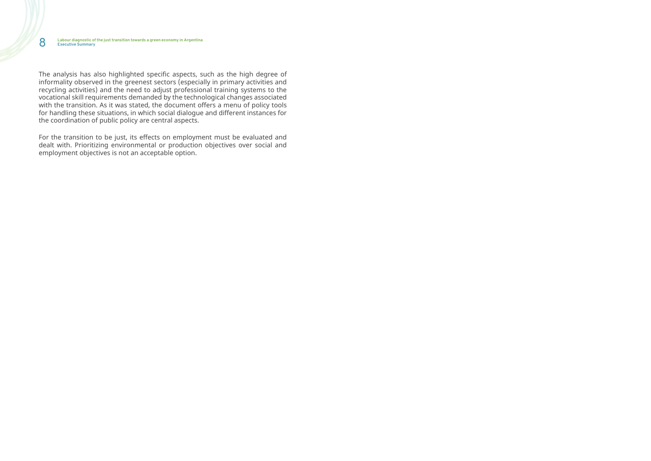The analysis has also highlighted specific aspects, such as the high degree of informality observed in the greenest sectors (especially in primary activities and recycling activities) and the need to adjust professional training systems to the vocational skill requirements demanded by the technological changes associated with the transition. As it was stated, the document offers a menu of policy tools for handling these situations, in which social dialogue and different instances for the coordination of public policy are central aspects.

For the transition to be just, its effects on employment must be evaluated and dealt with. Prioritizing environmental or production objectives over social and employment objectives is not an acceptable option.